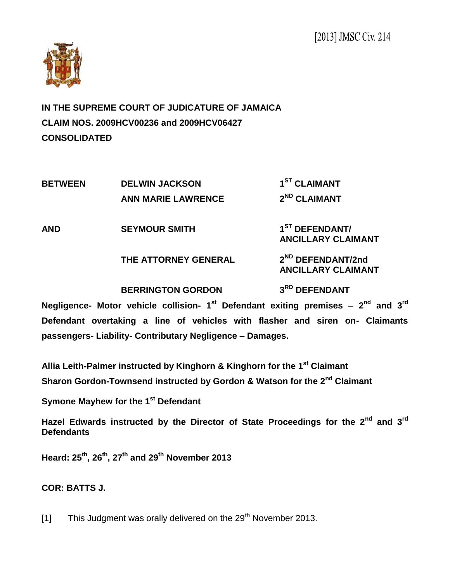

**IN THE SUPREME COURT OF JUDICATURE OF JAMAICA CLAIM NOS. 2009HCV00236 and 2009HCV06427 CONSOLIDATED**

**BETWEEN DELWIN JACKSON 1 ST CLAIMANT ANN MARIE LAWRENCE 2 ND CLAIMANT AND SEYMOUR SMITH 1 ST DEFENDANT/ ANCILLARY CLAIMANT THE ATTORNEY GENERAL 2 ND DEFENDANT/2nd ANCILLARY CLAIMANT BERRINGTON GORDON 3 RD DEFENDANT Negligence- Motor vehicle collision- 1<sup>st</sup> Defendant exiting premises – 2<sup>nd</sup> and 3<sup>rd</sup>** 

**Defendant overtaking a line of vehicles with flasher and siren on- Claimants passengers- Liability- Contributary Negligence – Damages.**

**Allia Leith-Palmer instructed by Kinghorn & Kinghorn for the 1st Claimant Sharon Gordon-Townsend instructed by Gordon & Watson for the 2nd Claimant**

**Symone Mayhew for the 1st Defendant**

**Hazel Edwards instructed by the Director of State Proceedings for the 2nd and 3rd Defendants**

**Heard: 25th, 26th, 27th and 29th November 2013**

# **COR: BATTS J.**

[1] This Judgment was orally delivered on the  $29<sup>th</sup>$  November 2013.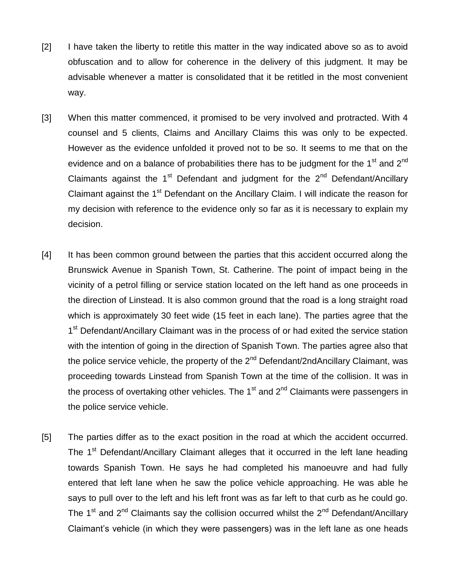- [2] I have taken the liberty to retitle this matter in the way indicated above so as to avoid obfuscation and to allow for coherence in the delivery of this judgment. It may be advisable whenever a matter is consolidated that it be retitled in the most convenient way.
- [3] When this matter commenced, it promised to be very involved and protracted. With 4 counsel and 5 clients, Claims and Ancillary Claims this was only to be expected. However as the evidence unfolded it proved not to be so. It seems to me that on the evidence and on a balance of probabilities there has to be judgment for the 1<sup>st</sup> and 2<sup>nd</sup> Claimants against the  $1<sup>st</sup>$  Defendant and judgment for the  $2<sup>nd</sup>$  Defendant/Ancillary Claimant against the 1<sup>st</sup> Defendant on the Ancillary Claim. I will indicate the reason for my decision with reference to the evidence only so far as it is necessary to explain my decision.
- [4] It has been common ground between the parties that this accident occurred along the Brunswick Avenue in Spanish Town, St. Catherine. The point of impact being in the vicinity of a petrol filling or service station located on the left hand as one proceeds in the direction of Linstead. It is also common ground that the road is a long straight road which is approximately 30 feet wide (15 feet in each lane). The parties agree that the 1<sup>st</sup> Defendant/Ancillary Claimant was in the process of or had exited the service station with the intention of going in the direction of Spanish Town. The parties agree also that the police service vehicle, the property of the 2<sup>nd</sup> Defendant/2ndAncillary Claimant, was proceeding towards Linstead from Spanish Town at the time of the collision. It was in the process of overtaking other vehicles. The  $1<sup>st</sup>$  and  $2<sup>nd</sup>$  Claimants were passengers in the police service vehicle.
- [5] The parties differ as to the exact position in the road at which the accident occurred. The 1<sup>st</sup> Defendant/Ancillary Claimant alleges that it occurred in the left lane heading towards Spanish Town. He says he had completed his manoeuvre and had fully entered that left lane when he saw the police vehicle approaching. He was able he says to pull over to the left and his left front was as far left to that curb as he could go. The 1<sup>st</sup> and 2<sup>nd</sup> Claimants say the collision occurred whilst the 2<sup>nd</sup> Defendant/Ancillary Claimant's vehicle (in which they were passengers) was in the left lane as one heads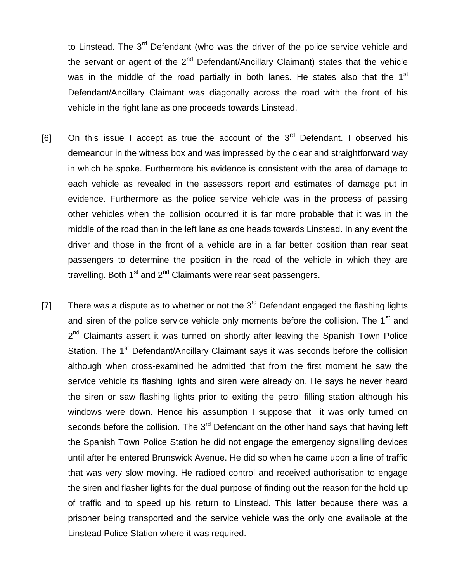to Linstead. The 3<sup>rd</sup> Defendant (who was the driver of the police service vehicle and the servant or agent of the  $2^{nd}$  Defendant/Ancillary Claimant) states that the vehicle was in the middle of the road partially in both lanes. He states also that the 1<sup>st</sup> Defendant/Ancillary Claimant was diagonally across the road with the front of his vehicle in the right lane as one proceeds towards Linstead.

- $[6]$  On this issue I accept as true the account of the  $3<sup>rd</sup>$  Defendant. I observed his demeanour in the witness box and was impressed by the clear and straightforward way in which he spoke. Furthermore his evidence is consistent with the area of damage to each vehicle as revealed in the assessors report and estimates of damage put in evidence. Furthermore as the police service vehicle was in the process of passing other vehicles when the collision occurred it is far more probable that it was in the middle of the road than in the left lane as one heads towards Linstead. In any event the driver and those in the front of a vehicle are in a far better position than rear seat passengers to determine the position in the road of the vehicle in which they are travelling. Both  $1<sup>st</sup>$  and  $2<sup>nd</sup>$  Claimants were rear seat passengers.
- [7] There was a dispute as to whether or not the  $3<sup>rd</sup>$  Defendant engaged the flashing lights and siren of the police service vehicle only moments before the collision. The 1<sup>st</sup> and 2<sup>nd</sup> Claimants assert it was turned on shortly after leaving the Spanish Town Police Station. The 1<sup>st</sup> Defendant/Ancillary Claimant says it was seconds before the collision although when cross-examined he admitted that from the first moment he saw the service vehicle its flashing lights and siren were already on. He says he never heard the siren or saw flashing lights prior to exiting the petrol filling station although his windows were down. Hence his assumption I suppose that it was only turned on seconds before the collision. The  $3<sup>rd</sup>$  Defendant on the other hand says that having left the Spanish Town Police Station he did not engage the emergency signalling devices until after he entered Brunswick Avenue. He did so when he came upon a line of traffic that was very slow moving. He radioed control and received authorisation to engage the siren and flasher lights for the dual purpose of finding out the reason for the hold up of traffic and to speed up his return to Linstead. This latter because there was a prisoner being transported and the service vehicle was the only one available at the Linstead Police Station where it was required.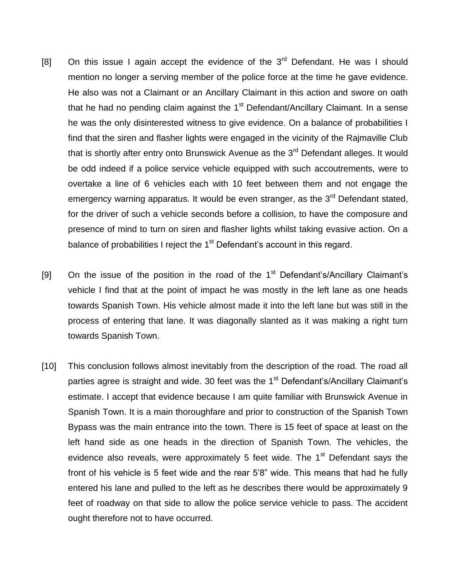- [8] On this issue I again accept the evidence of the  $3<sup>rd</sup>$  Defendant. He was I should mention no longer a serving member of the police force at the time he gave evidence. He also was not a Claimant or an Ancillary Claimant in this action and swore on oath that he had no pending claim against the  $1<sup>st</sup>$  Defendant/Ancillary Claimant. In a sense he was the only disinterested witness to give evidence. On a balance of probabilities I find that the siren and flasher lights were engaged in the vicinity of the Rajmaville Club that is shortly after entry onto Brunswick Avenue as the 3<sup>rd</sup> Defendant alleges. It would be odd indeed if a police service vehicle equipped with such accoutrements, were to overtake a line of 6 vehicles each with 10 feet between them and not engage the emergency warning apparatus. It would be even stranger, as the 3<sup>rd</sup> Defendant stated, for the driver of such a vehicle seconds before a collision, to have the composure and presence of mind to turn on siren and flasher lights whilst taking evasive action. On a balance of probabilities I reject the  $1<sup>st</sup>$  Defendant's account in this regard.
- [9] On the issue of the position in the road of the  $1<sup>st</sup>$  Defendant's/Ancillary Claimant's vehicle I find that at the point of impact he was mostly in the left lane as one heads towards Spanish Town. His vehicle almost made it into the left lane but was still in the process of entering that lane. It was diagonally slanted as it was making a right turn towards Spanish Town.
- [10] This conclusion follows almost inevitably from the description of the road. The road all parties agree is straight and wide. 30 feet was the 1<sup>st</sup> Defendant's/Ancillary Claimant's estimate. I accept that evidence because I am quite familiar with Brunswick Avenue in Spanish Town. It is a main thoroughfare and prior to construction of the Spanish Town Bypass was the main entrance into the town. There is 15 feet of space at least on the left hand side as one heads in the direction of Spanish Town. The vehicles, the evidence also reveals, were approximately 5 feet wide. The  $1<sup>st</sup>$  Defendant says the front of his vehicle is 5 feet wide and the rear 5'8" wide. This means that had he fully entered his lane and pulled to the left as he describes there would be approximately 9 feet of roadway on that side to allow the police service vehicle to pass. The accident ought therefore not to have occurred.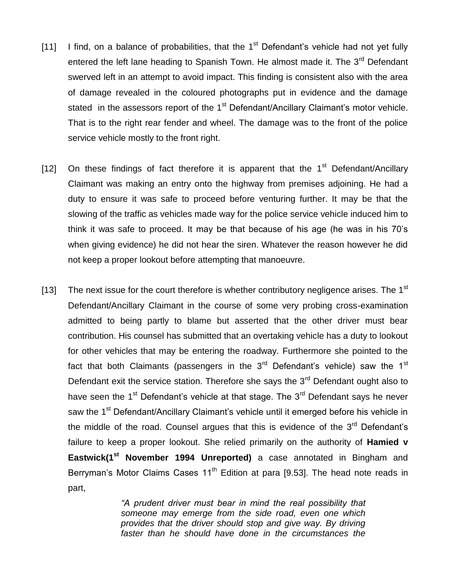- [11] I find, on a balance of probabilities, that the  $1<sup>st</sup>$  Defendant's vehicle had not yet fully entered the left lane heading to Spanish Town. He almost made it. The 3<sup>rd</sup> Defendant swerved left in an attempt to avoid impact. This finding is consistent also with the area of damage revealed in the coloured photographs put in evidence and the damage stated in the assessors report of the  $1<sup>st</sup>$  Defendant/Ancillary Claimant's motor vehicle. That is to the right rear fender and wheel. The damage was to the front of the police service vehicle mostly to the front right.
- [12] On these findings of fact therefore it is apparent that the  $1<sup>st</sup>$  Defendant/Ancillary Claimant was making an entry onto the highway from premises adjoining. He had a duty to ensure it was safe to proceed before venturing further. It may be that the slowing of the traffic as vehicles made way for the police service vehicle induced him to think it was safe to proceed. It may be that because of his age (he was in his 70's when giving evidence) he did not hear the siren. Whatever the reason however he did not keep a proper lookout before attempting that manoeuvre.
- [13] The next issue for the court therefore is whether contributory negligence arises. The 1<sup>st</sup> Defendant/Ancillary Claimant in the course of some very probing cross-examination admitted to being partly to blame but asserted that the other driver must bear contribution. His counsel has submitted that an overtaking vehicle has a duty to lookout for other vehicles that may be entering the roadway. Furthermore she pointed to the fact that both Claimants (passengers in the  $3<sup>rd</sup>$  Defendant's vehicle) saw the  $1<sup>st</sup>$ Defendant exit the service station. Therefore she says the  $3<sup>rd</sup>$  Defendant ought also to have seen the  $1<sup>st</sup>$  Defendant's vehicle at that stage. The  $3<sup>rd</sup>$  Defendant says he never saw the 1<sup>st</sup> Defendant/Ancillary Claimant's vehicle until it emerged before his vehicle in the middle of the road. Counsel argues that this is evidence of the  $3<sup>rd</sup>$  Defendant's failure to keep a proper lookout. She relied primarily on the authority of **Hamied v Eastwick(1st November 1994 Unreported)** a case annotated in Bingham and Berryman's Motor Claims Cases 11<sup>th</sup> Edition at para [9.53]. The head note reads in part,

*"A prudent driver must bear in mind the real possibility that someone may emerge from the side road, even one which provides that the driver should stop and give way. By driving faster than he should have done in the circumstances the*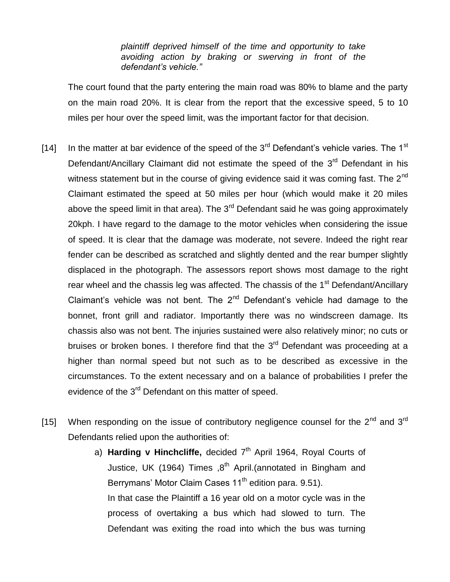*plaintiff deprived himself of the time and opportunity to take avoiding action by braking or swerving in front of the defendant's vehicle."*

The court found that the party entering the main road was 80% to blame and the party on the main road 20%. It is clear from the report that the excessive speed, 5 to 10 miles per hour over the speed limit, was the important factor for that decision.

- [14] In the matter at bar evidence of the speed of the  $3<sup>rd</sup>$  Defendant's vehicle varies. The 1<sup>st</sup> Defendant/Ancillary Claimant did not estimate the speed of the  $3<sup>rd</sup>$  Defendant in his witness statement but in the course of giving evidence said it was coming fast. The  $2^{nd}$ Claimant estimated the speed at 50 miles per hour (which would make it 20 miles above the speed limit in that area). The  $3<sup>rd</sup>$  Defendant said he was going approximately 20kph. I have regard to the damage to the motor vehicles when considering the issue of speed. It is clear that the damage was moderate, not severe. Indeed the right rear fender can be described as scratched and slightly dented and the rear bumper slightly displaced in the photograph. The assessors report shows most damage to the right rear wheel and the chassis leg was affected. The chassis of the 1<sup>st</sup> Defendant/Ancillary Claimant's vehicle was not bent. The  $2<sup>nd</sup>$  Defendant's vehicle had damage to the bonnet, front grill and radiator. Importantly there was no windscreen damage. Its chassis also was not bent. The injuries sustained were also relatively minor; no cuts or bruises or broken bones. I therefore find that the  $3<sup>rd</sup>$  Defendant was proceeding at a higher than normal speed but not such as to be described as excessive in the circumstances. To the extent necessary and on a balance of probabilities I prefer the evidence of the 3<sup>rd</sup> Defendant on this matter of speed.
- [15] When responding on the issue of contributory negligence counsel for the  $2^{nd}$  and  $3^{rd}$ Defendants relied upon the authorities of:
	- a) **Harding v Hinchcliffe,** decided 7<sup>th</sup> April 1964, Royal Courts of Justice, UK (1964) Times  $,8^{th}$  April.(annotated in Bingham and Berrymans' Motor Claim Cases 11<sup>th</sup> edition para. 9.51). In that case the Plaintiff a 16 year old on a motor cycle was in the process of overtaking a bus which had slowed to turn. The Defendant was exiting the road into which the bus was turning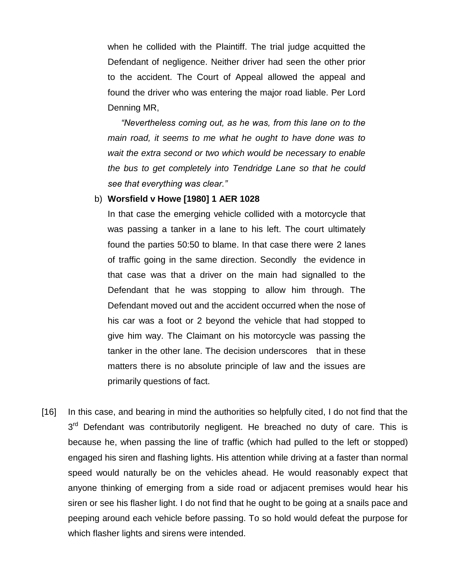when he collided with the Plaintiff. The trial judge acquitted the Defendant of negligence. Neither driver had seen the other prior to the accident. The Court of Appeal allowed the appeal and found the driver who was entering the major road liable. Per Lord Denning MR,

*"Nevertheless coming out, as he was, from this lane on to the main road, it seems to me what he ought to have done was to wait the extra second or two which would be necessary to enable the bus to get completely into Tendridge Lane so that he could see that everything was clear."*

#### b) **Worsfield v Howe [1980] 1 AER 1028**

In that case the emerging vehicle collided with a motorcycle that was passing a tanker in a lane to his left. The court ultimately found the parties 50:50 to blame. In that case there were 2 lanes of traffic going in the same direction. Secondly the evidence in that case was that a driver on the main had signalled to the Defendant that he was stopping to allow him through. The Defendant moved out and the accident occurred when the nose of his car was a foot or 2 beyond the vehicle that had stopped to give him way. The Claimant on his motorcycle was passing the tanker in the other lane. The decision underscores that in these matters there is no absolute principle of law and the issues are primarily questions of fact.

[16] In this case, and bearing in mind the authorities so helpfully cited, I do not find that the 3<sup>rd</sup> Defendant was contributorily negligent. He breached no duty of care. This is because he, when passing the line of traffic (which had pulled to the left or stopped) engaged his siren and flashing lights. His attention while driving at a faster than normal speed would naturally be on the vehicles ahead. He would reasonably expect that anyone thinking of emerging from a side road or adjacent premises would hear his siren or see his flasher light. I do not find that he ought to be going at a snails pace and peeping around each vehicle before passing. To so hold would defeat the purpose for which flasher lights and sirens were intended.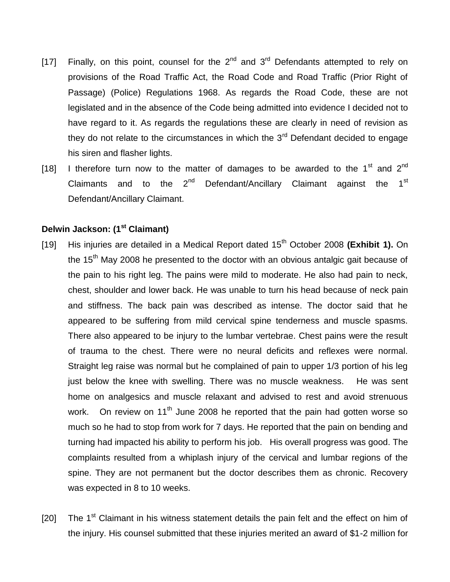- [17] Finally, on this point, counsel for the  $2^{nd}$  and  $3^{rd}$  Defendants attempted to rely on provisions of the Road Traffic Act, the Road Code and Road Traffic (Prior Right of Passage) (Police) Regulations 1968. As regards the Road Code, these are not legislated and in the absence of the Code being admitted into evidence I decided not to have regard to it. As regards the regulations these are clearly in need of revision as they do not relate to the circumstances in which the  $3<sup>rd</sup>$  Defendant decided to engage his siren and flasher lights.
- [18] I therefore turn now to the matter of damages to be awarded to the  $1<sup>st</sup>$  and  $2<sup>nd</sup>$ Claimants and to the  $2^{nd}$  Defendant/Ancillary Claimant against the  $1^{st}$ Defendant/Ancillary Claimant.

# **Delwin Jackson: (1st Claimant)**

- [19] His injuries are detailed in a Medical Report dated 15th October 2008 **(Exhibit 1).** On the  $15<sup>th</sup>$  May 2008 he presented to the doctor with an obvious antalgic gait because of the pain to his right leg. The pains were mild to moderate. He also had pain to neck, chest, shoulder and lower back. He was unable to turn his head because of neck pain and stiffness. The back pain was described as intense. The doctor said that he appeared to be suffering from mild cervical spine tenderness and muscle spasms. There also appeared to be injury to the lumbar vertebrae. Chest pains were the result of trauma to the chest. There were no neural deficits and reflexes were normal. Straight leg raise was normal but he complained of pain to upper 1/3 portion of his leg just below the knee with swelling. There was no muscle weakness. He was sent home on analgesics and muscle relaxant and advised to rest and avoid strenuous work. On review on 11<sup>th</sup> June 2008 he reported that the pain had gotten worse so much so he had to stop from work for 7 days. He reported that the pain on bending and turning had impacted his ability to perform his job. His overall progress was good. The complaints resulted from a whiplash injury of the cervical and lumbar regions of the spine. They are not permanent but the doctor describes them as chronic. Recovery was expected in 8 to 10 weeks.
- [20] The  $1<sup>st</sup>$  Claimant in his witness statement details the pain felt and the effect on him of the injury. His counsel submitted that these injuries merited an award of \$1-2 million for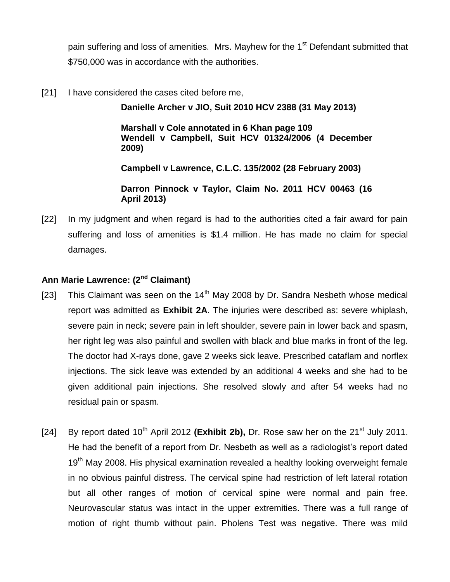pain suffering and loss of amenities. Mrs. Mayhew for the 1<sup>st</sup> Defendant submitted that \$750,000 was in accordance with the authorities.

[21] I have considered the cases cited before me,

**Danielle Archer v JIO, Suit 2010 HCV 2388 (31 May 2013)**

**Marshall v Cole annotated in 6 Khan page 109 Wendell v Campbell, Suit HCV 01324/2006 (4 December 2009)**

**Campbell v Lawrence, C.L.C. 135/2002 (28 February 2003)**

**Darron Pinnock v Taylor, Claim No. 2011 HCV 00463 (16 April 2013)**

[22] In my judgment and when regard is had to the authorities cited a fair award for pain suffering and loss of amenities is \$1.4 million. He has made no claim for special damages.

## **Ann Marie Lawrence: (2nd Claimant)**

- [23] This Claimant was seen on the  $14<sup>th</sup>$  May 2008 by Dr. Sandra Nesbeth whose medical report was admitted as **Exhibit 2A**. The injuries were described as: severe whiplash, severe pain in neck; severe pain in left shoulder, severe pain in lower back and spasm, her right leg was also painful and swollen with black and blue marks in front of the leg. The doctor had X-rays done, gave 2 weeks sick leave. Prescribed cataflam and norflex injections. The sick leave was extended by an additional 4 weeks and she had to be given additional pain injections. She resolved slowly and after 54 weeks had no residual pain or spasm.
- [24] By report dated 10<sup>th</sup> April 2012 (Exhibit 2b), Dr. Rose saw her on the 21<sup>st</sup> July 2011. He had the benefit of a report from Dr. Nesbeth as well as a radiologist's report dated 19<sup>th</sup> May 2008. His physical examination revealed a healthy looking overweight female in no obvious painful distress. The cervical spine had restriction of left lateral rotation but all other ranges of motion of cervical spine were normal and pain free. Neurovascular status was intact in the upper extremities. There was a full range of motion of right thumb without pain. Pholens Test was negative. There was mild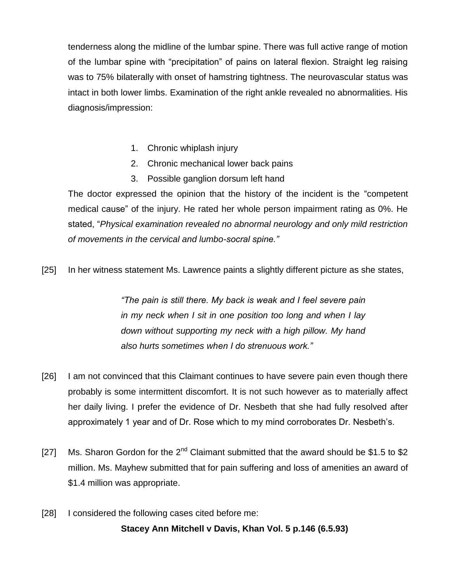tenderness along the midline of the lumbar spine. There was full active range of motion of the lumbar spine with "precipitation" of pains on lateral flexion. Straight leg raising was to 75% bilaterally with onset of hamstring tightness. The neurovascular status was intact in both lower limbs. Examination of the right ankle revealed no abnormalities. His diagnosis/impression:

- 1. Chronic whiplash injury
- 2. Chronic mechanical lower back pains
- 3. Possible ganglion dorsum left hand

The doctor expressed the opinion that the history of the incident is the "competent medical cause" of the injury. He rated her whole person impairment rating as 0%. He stated, "*Physical examination revealed no abnormal neurology and only mild restriction of movements in the cervical and lumbo-socral spine."*

[25] In her witness statement Ms. Lawrence paints a slightly different picture as she states,

*"The pain is still there. My back is weak and I feel severe pain in my neck when I sit in one position too long and when I lay down without supporting my neck with a high pillow. My hand also hurts sometimes when I do strenuous work."*

- [26] I am not convinced that this Claimant continues to have severe pain even though there probably is some intermittent discomfort. It is not such however as to materially affect her daily living. I prefer the evidence of Dr. Nesbeth that she had fully resolved after approximately 1 year and of Dr. Rose which to my mind corroborates Dr. Nesbeth's.
- [27] Ms. Sharon Gordon for the  $2^{nd}$  Claimant submitted that the award should be \$1.5 to \$2 million. Ms. Mayhew submitted that for pain suffering and loss of amenities an award of \$1.4 million was appropriate.
- [28] I considered the following cases cited before me:

#### **Stacey Ann Mitchell v Davis, Khan Vol. 5 p.146 (6.5.93)**